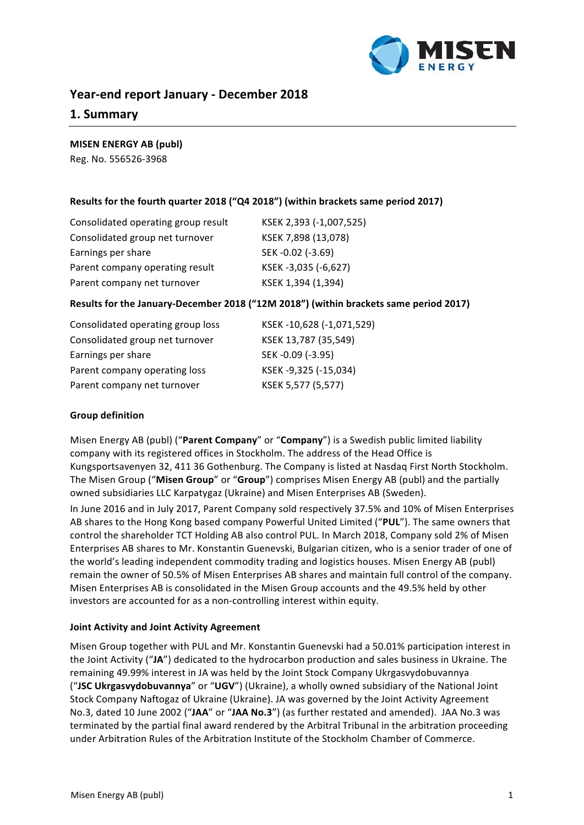

# **Year-end report January - December 2018**

# **1. Summary**

# **MISEN ENERGY AB (publ)**

Reg. No. 556526-3968

# Results for the fourth quarter 2018 ("Q4 2018") (within brackets same period 2017)

| KSEK 2,393 (-1,007,525) |
|-------------------------|
| KSEK 7,898 (13,078)     |
| SEK-0.02 (-3.69)        |
| KSEK-3,035 (-6,627)     |
| KSEK 1,394 (1,394)      |
|                         |

# Results for the January-December 2018 ("12M 2018") (within brackets same period 2017)

| Consolidated operating group loss | KSEK-10,628 (-1,071,529) |
|-----------------------------------|--------------------------|
| Consolidated group net turnover   | KSEK 13,787 (35,549)     |
| Earnings per share                | SEK-0.09 (-3.95)         |
| Parent company operating loss     | KSEK-9,325 (-15,034)     |
| Parent company net turnover       | KSEK 5,577 (5,577)       |

# **Group definition**

Misen Energy AB (publ) ("Parent Company" or "Company") is a Swedish public limited liability company with its registered offices in Stockholm. The address of the Head Office is Kungsportsavenyen 32, 411 36 Gothenburg. The Company is listed at Nasdaq First North Stockholm. The Misen Group ("Misen Group" or "Group") comprises Misen Energy AB (publ) and the partially owned subsidiaries LLC Karpatygaz (Ukraine) and Misen Enterprises AB (Sweden).

In June 2016 and in July 2017, Parent Company sold respectively 37.5% and 10% of Misen Enterprises AB shares to the Hong Kong based company Powerful United Limited ("PUL"). The same owners that control the shareholder TCT Holding AB also control PUL. In March 2018, Company sold 2% of Misen Enterprises AB shares to Mr. Konstantin Guenevski, Bulgarian citizen, who is a senior trader of one of the world's leading independent commodity trading and logistics houses. Misen Energy AB (publ) remain the owner of 50.5% of Misen Enterprises AB shares and maintain full control of the company. Misen Enterprises AB is consolidated in the Misen Group accounts and the 49.5% held by other investors are accounted for as a non-controlling interest within equity.

# **Joint Activity and Joint Activity Agreement**

Misen Group together with PUL and Mr. Konstantin Guenevski had a 50.01% participation interest in the Joint Activity ("JA") dedicated to the hydrocarbon production and sales business in Ukraine. The remaining 49.99% interest in JA was held by the Joint Stock Company Ukrgasvydobuvannya ("JSC Ukrgasvydobuvannya" or "UGV") (Ukraine), a wholly owned subsidiary of the National Joint Stock Company Naftogaz of Ukraine (Ukraine). JA was governed by the Joint Activity Agreement No.3, dated 10 June 2002 ("JAA" or "JAA No.3") (as further restated and amended). JAA No.3 was terminated by the partial final award rendered by the Arbitral Tribunal in the arbitration proceeding under Arbitration Rules of the Arbitration Institute of the Stockholm Chamber of Commerce.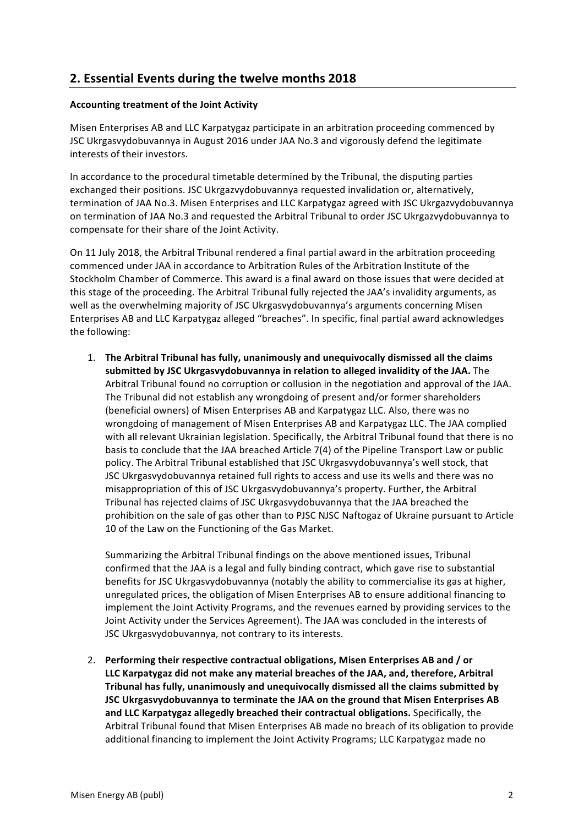# **2. Essential Events during the twelve months 2018**

# **Accounting treatment of the Joint Activity**

Misen Enterprises AB and LLC Karpatygaz participate in an arbitration proceeding commenced by JSC Ukrgasvydobuvannya in August 2016 under JAA No.3 and vigorously defend the legitimate interests of their investors.

In accordance to the procedural timetable determined by the Tribunal, the disputing parties exchanged their positions. JSC Ukrgazvydobuvannya requested invalidation or, alternatively, termination of JAA No.3. Misen Enterprises and LLC Karpatygaz agreed with JSC Ukrgazvydobuvannya on termination of JAA No.3 and requested the Arbitral Tribunal to order JSC Ukrgazvydobuvannya to compensate for their share of the Joint Activity.

On 11 July 2018, the Arbitral Tribunal rendered a final partial award in the arbitration proceeding commenced under JAA in accordance to Arbitration Rules of the Arbitration Institute of the Stockholm Chamber of Commerce. This award is a final award on those issues that were decided at this stage of the proceeding. The Arbitral Tribunal fully rejected the JAA's invalidity arguments, as well as the overwhelming majority of JSC Ukrgasvydobuvannya's arguments concerning Misen Enterprises AB and LLC Karpatygaz alleged "breaches". In specific, final partial award acknowledges the following:

1. The Arbitral Tribunal has fully, unanimously and unequivocally dismissed all the claims submitted by JSC Ukrgasyydobuvannya in relation to alleged invalidity of the JAA. The Arbitral Tribunal found no corruption or collusion in the negotiation and approval of the JAA. The Tribunal did not establish any wrongdoing of present and/or former shareholders (beneficial owners) of Misen Enterprises AB and Karpatygaz LLC. Also, there was no wrongdoing of management of Misen Enterprises AB and Karpatygaz LLC. The JAA complied with all relevant Ukrainian legislation. Specifically, the Arbitral Tribunal found that there is no basis to conclude that the JAA breached Article 7(4) of the Pipeline Transport Law or public policy. The Arbitral Tribunal established that JSC Ukrgasvydobuvannya's well stock, that JSC Ukrgasvydobuvannya retained full rights to access and use its wells and there was no misappropriation of this of JSC Ukrgasvydobuvannya's property. Further, the Arbitral Tribunal has rejected claims of JSC Ukrgasvydobuvannya that the JAA breached the prohibition on the sale of gas other than to PJSC NJSC Naftogaz of Ukraine pursuant to Article 10 of the Law on the Functioning of the Gas Market.

Summarizing the Arbitral Tribunal findings on the above mentioned issues. Tribunal confirmed that the JAA is a legal and fully binding contract, which gave rise to substantial benefits for JSC Ukrgasvydobuvannya (notably the ability to commercialise its gas at higher, unregulated prices, the obligation of Misen Enterprises AB to ensure additional financing to implement the Joint Activity Programs, and the revenues earned by providing services to the Joint Activity under the Services Agreement). The JAA was concluded in the interests of JSC Ukrgasvydobuvannya, not contrary to its interests.

2. Performing their respective contractual obligations. Misen Enterprises AB and / or LLC Karpatygaz did not make any material breaches of the JAA, and, therefore, Arbitral **Tribunal has fully, unanimously and unequivocally dismissed all the claims submitted by JSC Ukrgasvydobuvannya to terminate the JAA on the ground that Misen Enterprises AB** and LLC Karpatygaz allegedly breached their contractual obligations. Specifically, the Arbitral Tribunal found that Misen Enterprises AB made no breach of its obligation to provide additional financing to implement the Joint Activity Programs; LLC Karpatygaz made no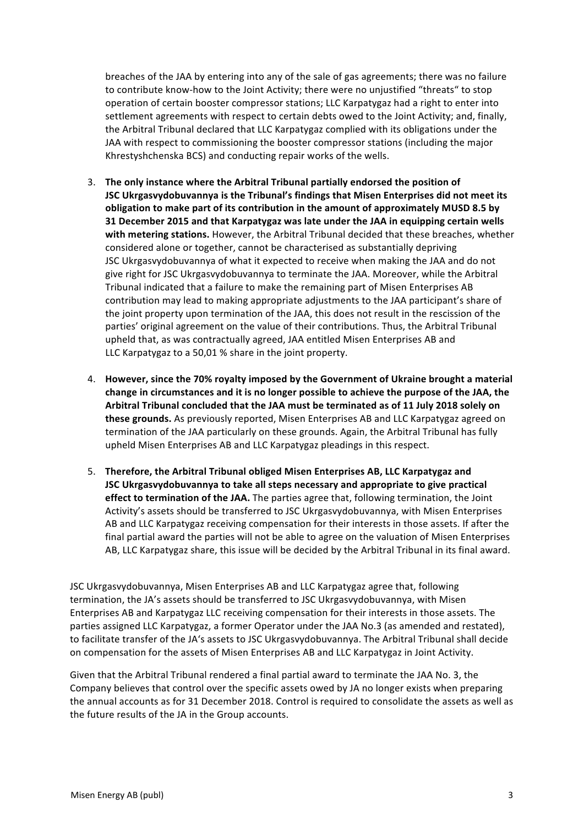breaches of the JAA by entering into any of the sale of gas agreements; there was no failure to contribute know-how to the Joint Activity; there were no unjustified "threats" to stop operation of certain booster compressor stations; LLC Karpatygaz had a right to enter into settlement agreements with respect to certain debts owed to the Joint Activity; and, finally, the Arbitral Tribunal declared that LLC Karpatygaz complied with its obligations under the JAA with respect to commissioning the booster compressor stations (including the major Khrestyshchenska BCS) and conducting repair works of the wells.

- 3. The only instance where the Arbitral Tribunal partially endorsed the position of **JSC Ukrgasvydobuvannya is the Tribunal's findings that Misen Enterprises did not meet its** obligation to make part of its contribution in the amount of approximately MUSD 8.5 by **31 December 2015 and that Karpatygaz was late under the JAA in equipping certain wells** with metering stations. However, the Arbitral Tribunal decided that these breaches, whether considered alone or together, cannot be characterised as substantially depriving JSC Ukrgasvydobuvannya of what it expected to receive when making the JAA and do not give right for JSC Ukrgasvydobuvannya to terminate the JAA. Moreover, while the Arbitral Tribunal indicated that a failure to make the remaining part of Misen Enterprises AB contribution may lead to making appropriate adjustments to the JAA participant's share of the joint property upon termination of the JAA, this does not result in the rescission of the parties' original agreement on the value of their contributions. Thus, the Arbitral Tribunal upheld that, as was contractually agreed, JAA entitled Misen Enterprises AB and LLC Karpatygaz to a 50,01 % share in the joint property.
- 4. However, since the 70% royalty imposed by the Government of Ukraine brought a material change in circumstances and it is no longer possible to achieve the purpose of the JAA, the Arbitral Tribunal concluded that the JAA must be terminated as of 11 July 2018 solely on **these grounds.** As previously reported, Misen Enterprises AB and LLC Karpatygaz agreed on termination of the JAA particularly on these grounds. Again, the Arbitral Tribunal has fully upheld Misen Enterprises AB and LLC Karpatygaz pleadings in this respect.
- 5. Therefore, the Arbitral Tribunal obliged Misen Enterprises AB, LLC Karpatygaz and **JSC** Ukrgasvydobuvannya to take all steps necessary and appropriate to give practical **effect to termination of the JAA.** The parties agree that, following termination, the Joint Activity's assets should be transferred to JSC Ukrgasvydobuvannya, with Misen Enterprises AB and LLC Karpatygaz receiving compensation for their interests in those assets. If after the final partial award the parties will not be able to agree on the valuation of Misen Enterprises AB, LLC Karpatygaz share, this issue will be decided by the Arbitral Tribunal in its final award.

JSC Ukrgasvydobuvannya, Misen Enterprises AB and LLC Karpatygaz agree that, following termination, the JA's assets should be transferred to JSC Ukrgasvydobuvannya, with Misen Enterprises AB and Karpatygaz LLC receiving compensation for their interests in those assets. The parties assigned LLC Karpatygaz, a former Operator under the JAA No.3 (as amended and restated), to facilitate transfer of the JA's assets to JSC Ukrgasvydobuvannya. The Arbitral Tribunal shall decide on compensation for the assets of Misen Enterprises AB and LLC Karpatygaz in Joint Activity.

Given that the Arbitral Tribunal rendered a final partial award to terminate the JAA No. 3, the Company believes that control over the specific assets owed by JA no longer exists when preparing the annual accounts as for 31 December 2018. Control is required to consolidate the assets as well as the future results of the JA in the Group accounts.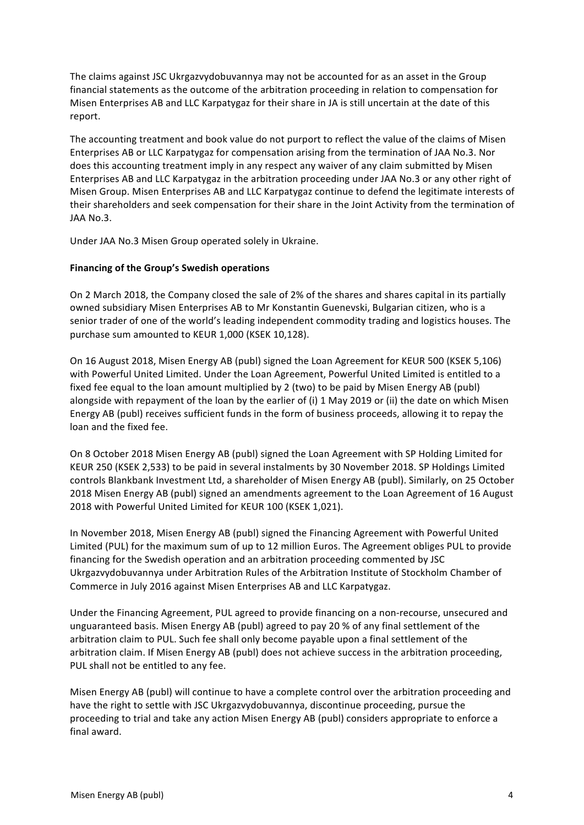The claims against JSC Ukrgazvydobuvannya may not be accounted for as an asset in the Group financial statements as the outcome of the arbitration proceeding in relation to compensation for Misen Enterprises AB and LLC Karpatygaz for their share in JA is still uncertain at the date of this report.

The accounting treatment and book value do not purport to reflect the value of the claims of Misen Enterprises AB or LLC Karpatygaz for compensation arising from the termination of JAA No.3. Nor does this accounting treatment imply in any respect any waiver of any claim submitted by Misen Enterprises AB and LLC Karpatygaz in the arbitration proceeding under JAA No.3 or any other right of Misen Group. Misen Enterprises AB and LLC Karpatygaz continue to defend the legitimate interests of their shareholders and seek compensation for their share in the Joint Activity from the termination of JAA No.3.

Under JAA No.3 Misen Group operated solely in Ukraine.

# **Financing of the Group's Swedish operations**

On 2 March 2018, the Company closed the sale of 2% of the shares and shares capital in its partially owned subsidiary Misen Enterprises AB to Mr Konstantin Guenevski, Bulgarian citizen, who is a senior trader of one of the world's leading independent commodity trading and logistics houses. The purchase sum amounted to KEUR 1,000 (KSEK 10,128).

On 16 August 2018, Misen Energy AB (publ) signed the Loan Agreement for KEUR 500 (KSEK 5,106) with Powerful United Limited. Under the Loan Agreement, Powerful United Limited is entitled to a fixed fee equal to the loan amount multiplied by 2 (two) to be paid by Misen Energy AB (publ) alongside with repayment of the loan by the earlier of (i) 1 May 2019 or (ii) the date on which Misen Energy AB (publ) receives sufficient funds in the form of business proceeds, allowing it to repay the loan and the fixed fee.

On 8 October 2018 Misen Energy AB (publ) signed the Loan Agreement with SP Holding Limited for KEUR 250 (KSEK 2,533) to be paid in several instalments by 30 November 2018. SP Holdings Limited controls Blankbank Investment Ltd, a shareholder of Misen Energy AB (publ). Similarly, on 25 October 2018 Misen Energy AB (publ) signed an amendments agreement to the Loan Agreement of 16 August 2018 with Powerful United Limited for KEUR 100 (KSEK 1,021).

In November 2018, Misen Energy AB (publ) signed the Financing Agreement with Powerful United Limited (PUL) for the maximum sum of up to 12 million Euros. The Agreement obliges PUL to provide financing for the Swedish operation and an arbitration proceeding commented by JSC Ukrgazvydobuvannya under Arbitration Rules of the Arbitration Institute of Stockholm Chamber of Commerce in July 2016 against Misen Enterprises AB and LLC Karpatygaz.

Under the Financing Agreement, PUL agreed to provide financing on a non-recourse, unsecured and unguaranteed basis. Misen Energy AB (publ) agreed to pay 20 % of any final settlement of the arbitration claim to PUL. Such fee shall only become payable upon a final settlement of the arbitration claim. If Misen Energy AB (publ) does not achieve success in the arbitration proceeding, PUL shall not be entitled to any fee.

Misen Energy AB (publ) will continue to have a complete control over the arbitration proceeding and have the right to settle with JSC Ukrgazvydobuvannya, discontinue proceeding, pursue the proceeding to trial and take any action Misen Energy AB (publ) considers appropriate to enforce a final award.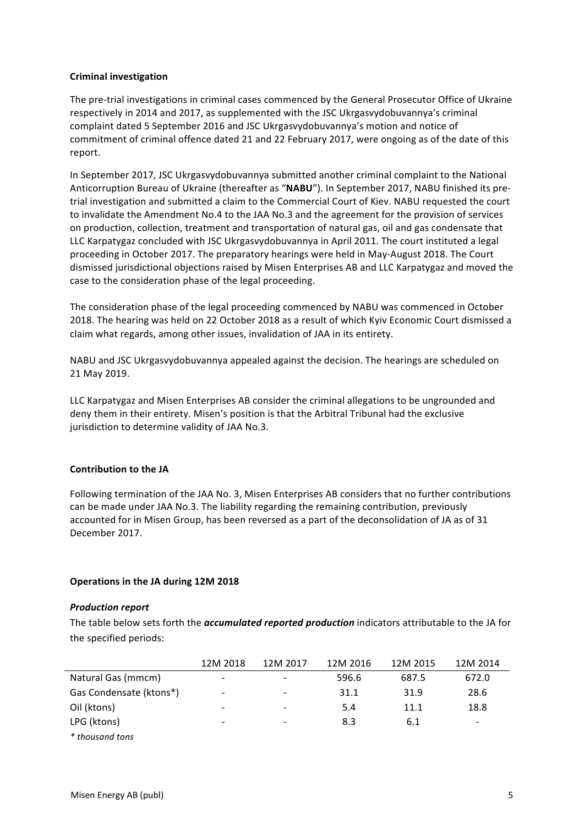# **Criminal investigation**

The pre-trial investigations in criminal cases commenced by the General Prosecutor Office of Ukraine respectively in 2014 and 2017, as supplemented with the JSC Ukrgasvydobuvannya's criminal complaint dated 5 September 2016 and JSC Ukrgasvydobuvannya's motion and notice of commitment of criminal offence dated 21 and 22 February 2017, were ongoing as of the date of this report.

In September 2017, JSC Ukrgasvydobuvannya submitted another criminal complaint to the National Anticorruption Bureau of Ukraine (thereafter as "NABU"). In September 2017, NABU finished its pretrial investigation and submitted a claim to the Commercial Court of Kiev. NABU requested the court to invalidate the Amendment No.4 to the JAA No.3 and the agreement for the provision of services on production, collection, treatment and transportation of natural gas, oil and gas condensate that LLC Karpatygaz concluded with JSC Ukrgasvydobuvannya in April 2011. The court instituted a legal proceeding in October 2017. The preparatory hearings were held in May-August 2018. The Court dismissed jurisdictional objections raised by Misen Enterprises AB and LLC Karpatygaz and moved the case to the consideration phase of the legal proceeding.

The consideration phase of the legal proceeding commenced by NABU was commenced in October 2018. The hearing was held on 22 October 2018 as a result of which Kyiv Economic Court dismissed a claim what regards, among other issues, invalidation of JAA in its entirety.

NABU and JSC Ukrgasvydobuvannya appealed against the decision. The hearings are scheduled on 21 May 2019.

LLC Karpatygaz and Misen Enterprises AB consider the criminal allegations to be ungrounded and deny them in their entirety. Misen's position is that the Arbitral Tribunal had the exclusive jurisdiction to determine validity of JAA No.3.

# **Contribution to the JA**

Following termination of the JAA No. 3, Misen Enterprises AB considers that no further contributions can be made under JAA No.3. The liability regarding the remaining contribution, previously accounted for in Misen Group, has been reversed as a part of the deconsolidation of JA as of 31 December 2017.

# **Operations in the JA during 12M 2018**

# **Production report**

The table below sets forth the *accumulated reported production* indicators attributable to the JA for the specified periods:

|                         | 12M 2018 | 12M 2017                 | 12M 2016 | 12M 2015 | 12M 2014 |
|-------------------------|----------|--------------------------|----------|----------|----------|
| Natural Gas (mmcm)      | -        |                          | 596.6    | 687.5    | 672.0    |
| Gas Condensate (ktons*) | -        | $\overline{\phantom{a}}$ | 31.1     | 31.9     | 28.6     |
| Oil (ktons)             | -        |                          | 5.4      | 11.1     | 18.8     |
| LPG (ktons)             | -        |                          | 8.3      | 6.1      | -        |
| * thousand tons         |          |                          |          |          |          |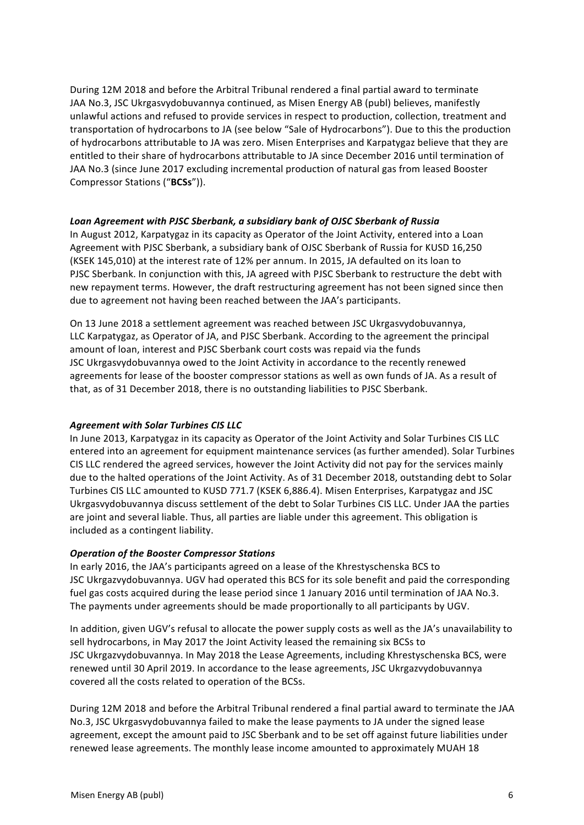During 12M 2018 and before the Arbitral Tribunal rendered a final partial award to terminate JAA No.3, JSC Ukrgasvydobuvannya continued, as Misen Energy AB (publ) believes, manifestly unlawful actions and refused to provide services in respect to production, collection, treatment and transportation of hydrocarbons to JA (see below "Sale of Hydrocarbons"). Due to this the production of hydrocarbons attributable to JA was zero. Misen Enterprises and Karpatygaz believe that they are entitled to their share of hydrocarbons attributable to JA since December 2016 until termination of JAA No.3 (since June 2017 excluding incremental production of natural gas from leased Booster Compressor Stations ("**BCSs**")). 

# Loan Agreement with PJSC Sberbank, a subsidiary bank of OJSC Sberbank of Russia

In August 2012, Karpatygaz in its capacity as Operator of the Joint Activity, entered into a Loan Agreement with PJSC Sberbank, a subsidiary bank of OJSC Sberbank of Russia for KUSD 16,250 (KSEK 145,010) at the interest rate of 12% per annum. In 2015, JA defaulted on its loan to PJSC Sberbank. In conjunction with this, JA agreed with PJSC Sberbank to restructure the debt with new repayment terms. However, the draft restructuring agreement has not been signed since then due to agreement not having been reached between the JAA's participants.

On 13 June 2018 a settlement agreement was reached between JSC Ukrgasvydobuvannya, LLC Karpatygaz, as Operator of JA, and PJSC Sberbank. According to the agreement the principal amount of loan, interest and PJSC Sberbank court costs was repaid via the funds JSC Ukrgasvydobuvannya owed to the Joint Activity in accordance to the recently renewed agreements for lease of the booster compressor stations as well as own funds of JA. As a result of that, as of 31 December 2018, there is no outstanding liabilities to PJSC Sberbank.

# *Agreement with Solar Turbines CIS LLC*

In June 2013, Karpatygaz in its capacity as Operator of the Joint Activity and Solar Turbines CIS LLC entered into an agreement for equipment maintenance services (as further amended). Solar Turbines CIS LLC rendered the agreed services, however the Joint Activity did not pay for the services mainly due to the halted operations of the Joint Activity. As of 31 December 2018, outstanding debt to Solar Turbines CIS LLC amounted to KUSD 771.7 (KSEK 6,886.4). Misen Enterprises, Karpatygaz and JSC Ukrgasvydobuvannya discuss settlement of the debt to Solar Turbines CIS LLC. Under JAA the parties are joint and several liable. Thus, all parties are liable under this agreement. This obligation is included as a contingent liability.

# **Operation of the Booster Compressor Stations**

In early 2016, the JAA's participants agreed on a lease of the Khrestyschenska BCS to JSC Ukrgazvydobuvannya. UGV had operated this BCS for its sole benefit and paid the corresponding fuel gas costs acquired during the lease period since 1 January 2016 until termination of JAA No.3. The payments under agreements should be made proportionally to all participants by UGV.

In addition, given UGV's refusal to allocate the power supply costs as well as the JA's unavailability to sell hydrocarbons, in May 2017 the Joint Activity leased the remaining six BCSs to JSC Ukrgazvydobuvannya. In May 2018 the Lease Agreements, including Khrestyschenska BCS, were renewed until 30 April 2019. In accordance to the lease agreements, JSC Ukrgazvydobuvannya covered all the costs related to operation of the BCSs.

During 12M 2018 and before the Arbitral Tribunal rendered a final partial award to terminate the JAA No.3, JSC Ukrgasvydobuvannya failed to make the lease payments to JA under the signed lease agreement, except the amount paid to JSC Sberbank and to be set off against future liabilities under renewed lease agreements. The monthly lease income amounted to approximately MUAH 18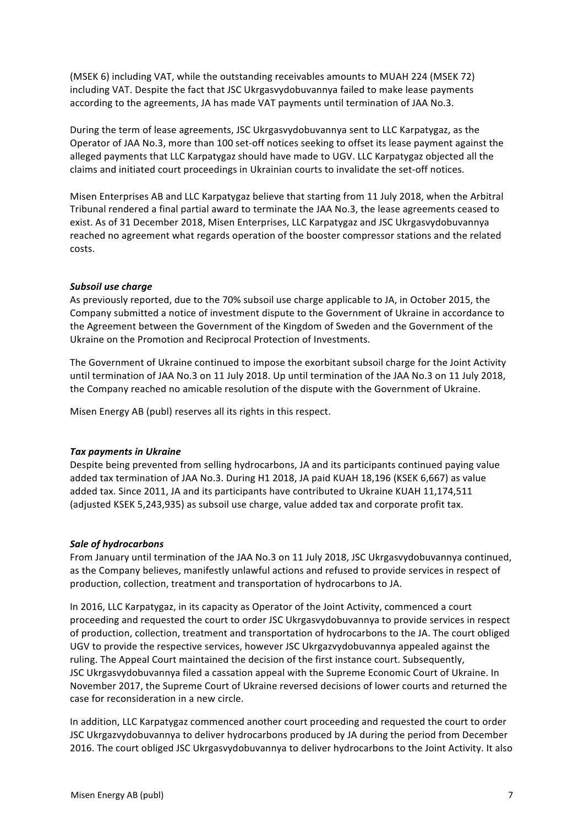(MSEK 6) including VAT, while the outstanding receivables amounts to MUAH 224 (MSEK 72) including VAT. Despite the fact that JSC Ukrgasvydobuvannya failed to make lease payments according to the agreements, JA has made VAT payments until termination of JAA No.3.

During the term of lease agreements, JSC Ukrgasvydobuvannya sent to LLC Karpatygaz, as the Operator of JAA No.3, more than 100 set-off notices seeking to offset its lease payment against the alleged payments that LLC Karpatygaz should have made to UGV. LLC Karpatygaz objected all the claims and initiated court proceedings in Ukrainian courts to invalidate the set-off notices.

Misen Enterprises AB and LLC Karpatygaz believe that starting from 11 July 2018, when the Arbitral Tribunal rendered a final partial award to terminate the JAA No.3, the lease agreements ceased to exist. As of 31 December 2018, Misen Enterprises, LLC Karpatygaz and JSC Ukrgasvydobuvannya reached no agreement what regards operation of the booster compressor stations and the related costs.

# **Subsoil** use charge

As previously reported, due to the 70% subsoil use charge applicable to JA, in October 2015, the Company submitted a notice of investment dispute to the Government of Ukraine in accordance to the Agreement between the Government of the Kingdom of Sweden and the Government of the Ukraine on the Promotion and Reciprocal Protection of Investments.

The Government of Ukraine continued to impose the exorbitant subsoil charge for the Joint Activity until termination of JAA No.3 on 11 July 2018. Up until termination of the JAA No.3 on 11 July 2018, the Company reached no amicable resolution of the dispute with the Government of Ukraine.

Misen Energy AB (publ) reserves all its rights in this respect.

# **Tax payments in Ukraine**

Despite being prevented from selling hydrocarbons, JA and its participants continued paying value added tax termination of JAA No.3. During H1 2018, JA paid KUAH 18,196 (KSEK 6,667) as value added tax. Since 2011, JA and its participants have contributed to Ukraine KUAH 11,174,511 (adjusted KSEK 5,243,935) as subsoil use charge, value added tax and corporate profit tax.

# **Sale of hydrocarbons**

From January until termination of the JAA No.3 on 11 July 2018, JSC Ukrgasvydobuvannya continued, as the Company believes, manifestly unlawful actions and refused to provide services in respect of production, collection, treatment and transportation of hydrocarbons to JA.

In 2016, LLC Karpatygaz, in its capacity as Operator of the Joint Activity, commenced a court proceeding and requested the court to order JSC Ukrgasvydobuvannya to provide services in respect of production, collection, treatment and transportation of hydrocarbons to the JA. The court obliged UGV to provide the respective services, however JSC Ukrgazvydobuvannya appealed against the ruling. The Appeal Court maintained the decision of the first instance court. Subsequently, JSC Ukrgasvydobuvannya filed a cassation appeal with the Supreme Economic Court of Ukraine. In November 2017, the Supreme Court of Ukraine reversed decisions of lower courts and returned the case for reconsideration in a new circle.

In addition, LLC Karpatygaz commenced another court proceeding and requested the court to order JSC Ukrgazvydobuvannya to deliver hydrocarbons produced by JA during the period from December 2016. The court obliged JSC Ukrgasvydobuvannya to deliver hydrocarbons to the Joint Activity. It also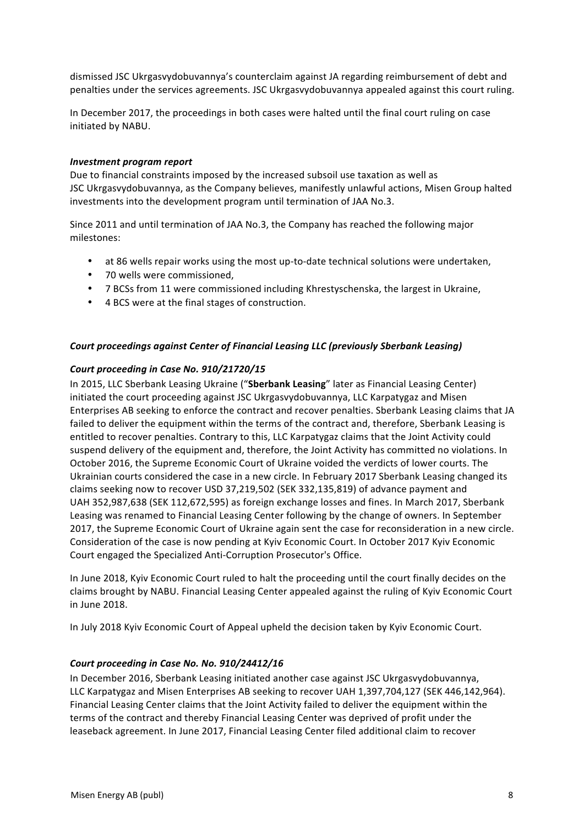dismissed JSC Ukrgasvydobuvannya's counterclaim against JA regarding reimbursement of debt and penalties under the services agreements. JSC Ukrgasvydobuvannya appealed against this court ruling.

In December 2017, the proceedings in both cases were halted until the final court ruling on case initiated by NABU.

# *Investment program report*

Due to financial constraints imposed by the increased subsoil use taxation as well as JSC Ukrgasvydobuvannya, as the Company believes, manifestly unlawful actions, Misen Group halted investments into the development program until termination of JAA No.3.

Since 2011 and until termination of JAA No.3, the Company has reached the following major milestones:

- at 86 wells repair works using the most up-to-date technical solutions were undertaken,
- 70 wells were commissioned,
- 7 BCSs from 11 were commissioned including Khrestyschenska, the largest in Ukraine,
- 4 BCS were at the final stages of construction.

## *Court proceedings against Center of Financial Leasing LLC (previously Sberbank Leasing)*

## Court proceeding in Case No. 910/21720/15

In 2015, LLC Sberbank Leasing Ukraine ("Sberbank Leasing" later as Financial Leasing Center) initiated the court proceeding against JSC Ukrgasvydobuvannya, LLC Karpatygaz and Misen Enterprises AB seeking to enforce the contract and recover penalties. Sberbank Leasing claims that JA failed to deliver the equipment within the terms of the contract and, therefore, Sberbank Leasing is entitled to recover penalties. Contrary to this, LLC Karpatygaz claims that the Joint Activity could suspend delivery of the equipment and, therefore, the Joint Activity has committed no violations. In October 2016, the Supreme Economic Court of Ukraine voided the verdicts of lower courts. The Ukrainian courts considered the case in a new circle. In February 2017 Sberbank Leasing changed its claims seeking now to recover USD 37,219,502 (SEK 332,135,819) of advance payment and UAH 352,987,638 (SEK 112,672,595) as foreign exchange losses and fines. In March 2017, Sberbank Leasing was renamed to Financial Leasing Center following by the change of owners. In September 2017, the Supreme Economic Court of Ukraine again sent the case for reconsideration in a new circle. Consideration of the case is now pending at Kyiv Economic Court. In October 2017 Kyiv Economic Court engaged the Specialized Anti-Corruption Prosecutor's Office.

In June 2018, Kyiv Economic Court ruled to halt the proceeding until the court finally decides on the claims brought by NABU. Financial Leasing Center appealed against the ruling of Kyiv Economic Court in June 2018.

In July 2018 Kyiv Economic Court of Appeal upheld the decision taken by Kyiv Economic Court.

# Court proceeding in Case No. No. 910/24412/16

In December 2016, Sberbank Leasing initiated another case against JSC Ukrgasvydobuvannya, LLC Karpatygaz and Misen Enterprises AB seeking to recover UAH 1,397,704,127 (SEK 446,142,964). Financial Leasing Center claims that the Joint Activity failed to deliver the equipment within the terms of the contract and thereby Financial Leasing Center was deprived of profit under the leaseback agreement. In June 2017, Financial Leasing Center filed additional claim to recover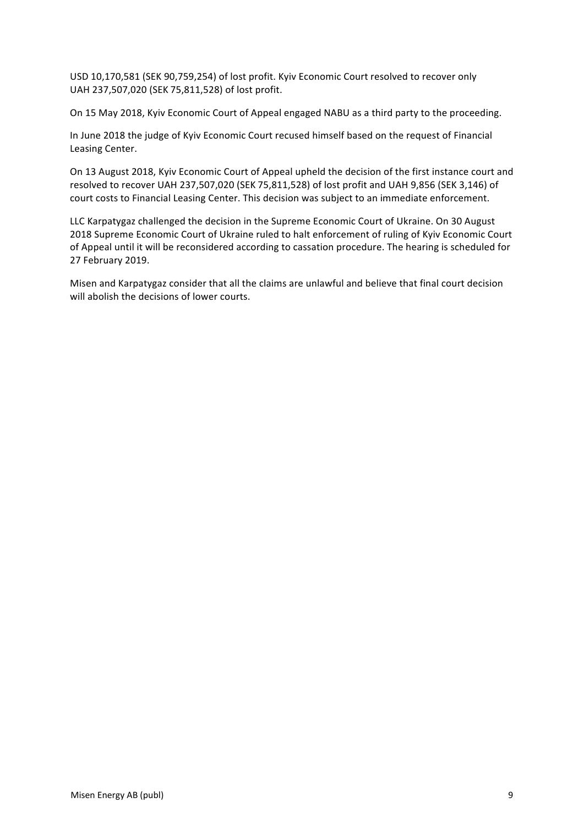USD 10,170,581 (SEK 90,759,254) of lost profit. Kyiv Economic Court resolved to recover only UAH 237,507,020 (SEK 75,811,528) of lost profit.

On 15 May 2018, Kyiv Economic Court of Appeal engaged NABU as a third party to the proceeding.

In June 2018 the judge of Kyiv Economic Court recused himself based on the request of Financial Leasing Center.

On 13 August 2018, Kyiv Economic Court of Appeal upheld the decision of the first instance court and resolved to recover UAH 237,507,020 (SEK 75,811,528) of lost profit and UAH 9,856 (SEK 3,146) of court costs to Financial Leasing Center. This decision was subject to an immediate enforcement.

LLC Karpatygaz challenged the decision in the Supreme Economic Court of Ukraine. On 30 August 2018 Supreme Economic Court of Ukraine ruled to halt enforcement of ruling of Kyiv Economic Court of Appeal until it will be reconsidered according to cassation procedure. The hearing is scheduled for 27 February 2019.

Misen and Karpatygaz consider that all the claims are unlawful and believe that final court decision will abolish the decisions of lower courts.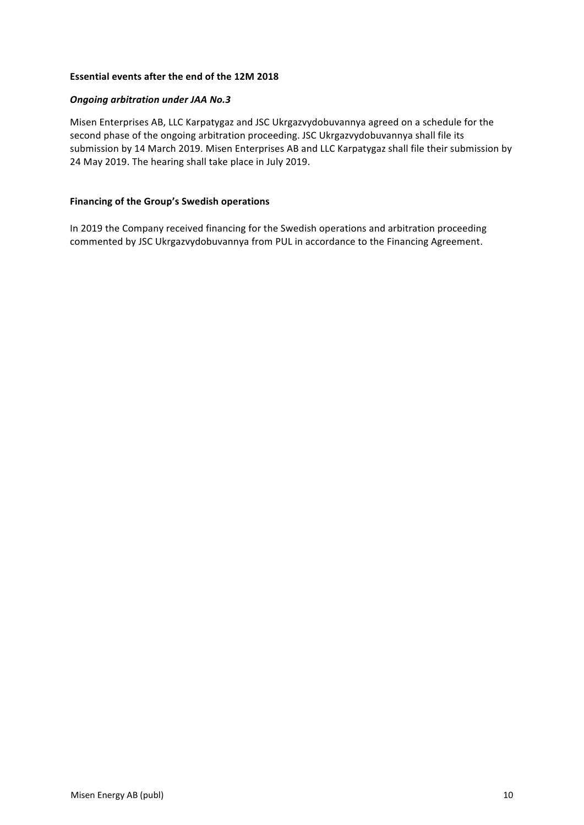# **Essential events after the end of the 12M 2018**

# *Ongoing arbitration under JAA No.3*

Misen Enterprises AB, LLC Karpatygaz and JSC Ukrgazvydobuvannya agreed on a schedule for the second phase of the ongoing arbitration proceeding. JSC Ukrgazvydobuvannya shall file its submission by 14 March 2019. Misen Enterprises AB and LLC Karpatygaz shall file their submission by 24 May 2019. The hearing shall take place in July 2019.

# **Financing of the Group's Swedish operations**

In 2019 the Company received financing for the Swedish operations and arbitration proceeding commented by JSC Ukrgazvydobuvannya from PUL in accordance to the Financing Agreement.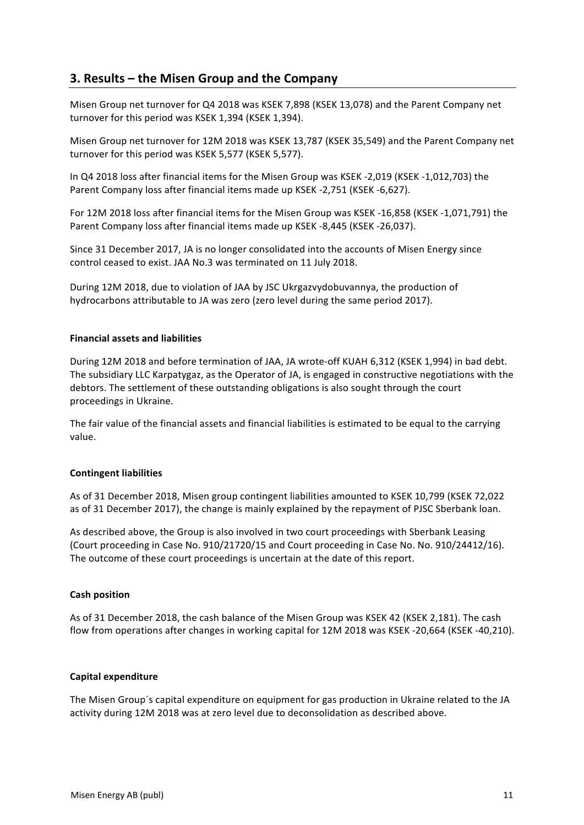# **3. Results – the Misen Group and the Company**

Misen Group net turnover for Q4 2018 was KSEK 7,898 (KSEK 13,078) and the Parent Company net turnover for this period was KSEK 1,394 (KSEK 1,394).

Misen Group net turnover for 12M 2018 was KSEK 13,787 (KSEK 35,549) and the Parent Company net turnover for this period was KSEK 5,577 (KSEK 5,577).

In Q4 2018 loss after financial items for the Misen Group was KSEK -2,019 (KSEK -1,012,703) the Parent Company loss after financial items made up KSEK -2,751 (KSEK -6,627).

For 12M 2018 loss after financial items for the Misen Group was KSEK -16,858 (KSEK -1,071,791) the Parent Company loss after financial items made up KSEK -8,445 (KSEK -26,037).

Since 31 December 2017, JA is no longer consolidated into the accounts of Misen Energy since control ceased to exist. JAA No.3 was terminated on 11 July 2018.

During 12M 2018, due to violation of JAA by JSC Ukrgazvydobuvannya, the production of hydrocarbons attributable to JA was zero (zero level during the same period 2017).

## **Financial assets and liabilities**

During 12M 2018 and before termination of JAA, JA wrote-off KUAH 6,312 (KSEK 1,994) in bad debt. The subsidiary LLC Karpatygaz, as the Operator of JA, is engaged in constructive negotiations with the debtors. The settlement of these outstanding obligations is also sought through the court proceedings in Ukraine.

The fair value of the financial assets and financial liabilities is estimated to be equal to the carrying value.

### **Contingent liabilities**

As of 31 December 2018, Misen group contingent liabilities amounted to KSEK 10,799 (KSEK 72,022 as of 31 December 2017), the change is mainly explained by the repayment of PJSC Sberbank loan.

As described above, the Group is also involved in two court proceedings with Sberbank Leasing (Court proceeding in Case No. 910/21720/15 and Court proceeding in Case No. No. 910/24412/16). The outcome of these court proceedings is uncertain at the date of this report.

# **Cash position**

As of 31 December 2018, the cash balance of the Misen Group was KSEK 42 (KSEK 2,181). The cash flow from operations after changes in working capital for 12M 2018 was KSEK -20,664 (KSEK -40,210).

### **Capital expenditure**

The Misen Group's capital expenditure on equipment for gas production in Ukraine related to the JA activity during 12M 2018 was at zero level due to deconsolidation as described above.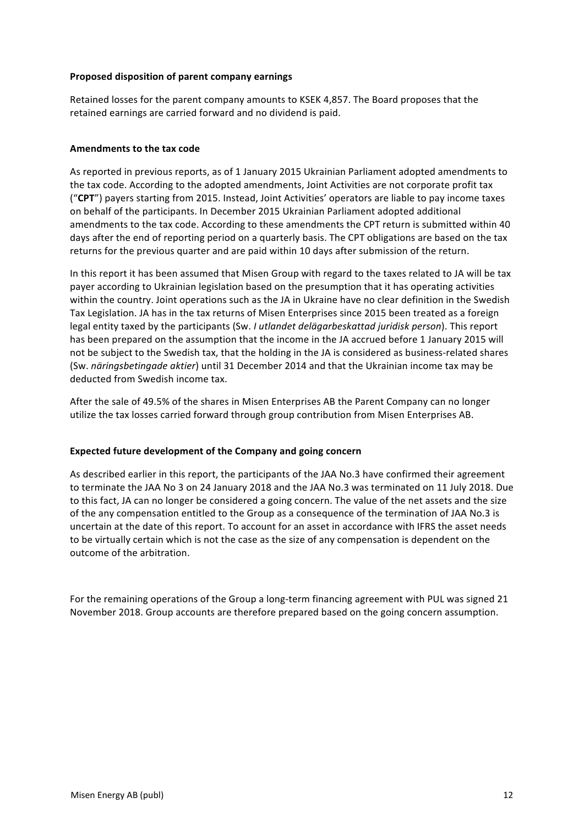# **Proposed disposition of parent company earnings**

Retained losses for the parent company amounts to KSEK 4,857. The Board proposes that the retained earnings are carried forward and no dividend is paid.

## **Amendments to the tax code**

As reported in previous reports, as of 1 January 2015 Ukrainian Parliament adopted amendments to the tax code. According to the adopted amendments, Joint Activities are not corporate profit tax ("CPT") payers starting from 2015. Instead, Joint Activities' operators are liable to pay income taxes on behalf of the participants. In December 2015 Ukrainian Parliament adopted additional amendments to the tax code. According to these amendments the CPT return is submitted within 40 days after the end of reporting period on a quarterly basis. The CPT obligations are based on the tax returns for the previous quarter and are paid within 10 days after submission of the return.

In this report it has been assumed that Misen Group with regard to the taxes related to JA will be tax payer according to Ukrainian legislation based on the presumption that it has operating activities within the country. Joint operations such as the JA in Ukraine have no clear definition in the Swedish Tax Legislation. JA has in the tax returns of Misen Enterprises since 2015 been treated as a foreign legal entity taxed by the participants (Sw. *I utlandet delägarbeskattad juridisk person*). This report has been prepared on the assumption that the income in the JA accrued before 1 January 2015 will not be subject to the Swedish tax, that the holding in the JA is considered as business-related shares (Sw. *näringsbetingade aktier*) until 31 December 2014 and that the Ukrainian income tax may be deducted from Swedish income tax.

After the sale of 49.5% of the shares in Misen Enterprises AB the Parent Company can no longer utilize the tax losses carried forward through group contribution from Misen Enterprises AB.

### Expected future development of the Company and going concern

As described earlier in this report, the participants of the JAA No.3 have confirmed their agreement to terminate the JAA No 3 on 24 January 2018 and the JAA No.3 was terminated on 11 July 2018. Due to this fact, JA can no longer be considered a going concern. The value of the net assets and the size of the any compensation entitled to the Group as a consequence of the termination of JAA No.3 is uncertain at the date of this report. To account for an asset in accordance with IFRS the asset needs to be virtually certain which is not the case as the size of any compensation is dependent on the outcome of the arbitration.

For the remaining operations of the Group a long-term financing agreement with PUL was signed 21 November 2018. Group accounts are therefore prepared based on the going concern assumption.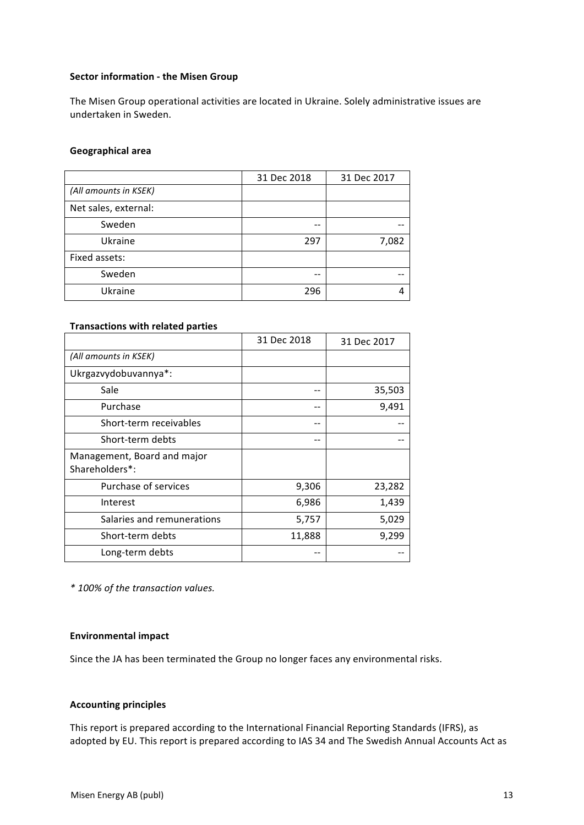# **Sector information - the Misen Group**

The Misen Group operational activities are located in Ukraine. Solely administrative issues are undertaken in Sweden.

#### **Geographical area**

|                       | 31 Dec 2018 | 31 Dec 2017 |
|-----------------------|-------------|-------------|
| (All amounts in KSEK) |             |             |
| Net sales, external:  |             |             |
| Sweden                | --          |             |
| Ukraine               | 297         | 7,082       |
| Fixed assets:         |             |             |
| Sweden                |             |             |
| Ukraine               | 296         |             |

# **Transactions with related parties**

|                                               | 31 Dec 2018 | 31 Dec 2017 |
|-----------------------------------------------|-------------|-------------|
| (All amounts in KSEK)                         |             |             |
| Ukrgazvydobuvannya*:                          |             |             |
| Sale                                          |             | 35,503      |
| Purchase                                      |             | 9,491       |
| Short-term receivables                        |             |             |
| Short-term debts                              |             |             |
| Management, Board and major<br>Shareholders*: |             |             |
| Purchase of services                          | 9,306       | 23,282      |
| Interest                                      | 6,986       | 1,439       |
| Salaries and remunerations                    | 5,757       | 5,029       |
| Short-term debts                              | 11,888      | 9,299       |
| Long-term debts                               |             |             |

*\* 100% of the transaction values.*

### **Environmental impact**

Since the JA has been terminated the Group no longer faces any environmental risks.

# **Accounting principles**

This report is prepared according to the International Financial Reporting Standards (IFRS), as adopted by EU. This report is prepared according to IAS 34 and The Swedish Annual Accounts Act as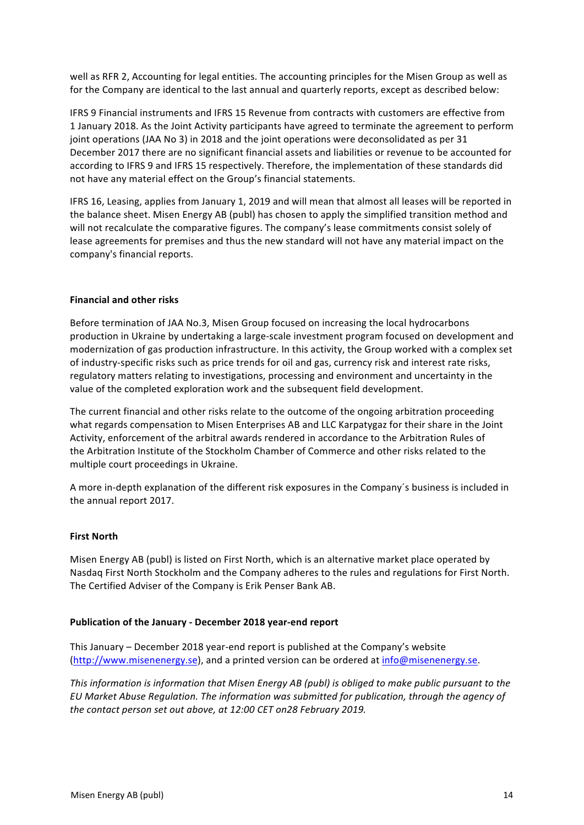well as RFR 2, Accounting for legal entities. The accounting principles for the Misen Group as well as for the Company are identical to the last annual and quarterly reports, except as described below:

IFRS 9 Financial instruments and IFRS 15 Revenue from contracts with customers are effective from 1 January 2018. As the Joint Activity participants have agreed to terminate the agreement to perform joint operations (JAA No 3) in 2018 and the joint operations were deconsolidated as per 31 December 2017 there are no significant financial assets and liabilities or revenue to be accounted for according to IFRS 9 and IFRS 15 respectively. Therefore, the implementation of these standards did not have any material effect on the Group's financial statements.

IFRS 16, Leasing, applies from January 1, 2019 and will mean that almost all leases will be reported in the balance sheet. Misen Energy AB (publ) has chosen to apply the simplified transition method and will not recalculate the comparative figures. The company's lease commitments consist solely of lease agreements for premises and thus the new standard will not have any material impact on the company's financial reports.

# **Financial and other risks**

Before termination of JAA No.3, Misen Group focused on increasing the local hydrocarbons production in Ukraine by undertaking a large-scale investment program focused on development and modernization of gas production infrastructure. In this activity, the Group worked with a complex set of industry-specific risks such as price trends for oil and gas, currency risk and interest rate risks, regulatory matters relating to investigations, processing and environment and uncertainty in the value of the completed exploration work and the subsequent field development.

The current financial and other risks relate to the outcome of the ongoing arbitration proceeding what regards compensation to Misen Enterprises AB and LLC Karpatygaz for their share in the Joint Activity, enforcement of the arbitral awards rendered in accordance to the Arbitration Rules of the Arbitration Institute of the Stockholm Chamber of Commerce and other risks related to the multiple court proceedings in Ukraine.

A more in-depth explanation of the different risk exposures in the Company's business is included in the annual report 2017.

### **First North**

Misen Energy AB (publ) is listed on First North, which is an alternative market place operated by Nasdaq First North Stockholm and the Company adheres to the rules and regulations for First North. The Certified Adviser of the Company is Erik Penser Bank AB.

### **Publication of the January - December 2018 year-end report**

This January – December 2018 year-end report is published at the Company's website (http://www.misenenergy.se), and a printed version can be ordered at info@misenenergy.se.

*This information is information that Misen Energy AB (publ) is obliged to make public pursuant to the EU Market Abuse Regulation. The information was submitted for publication, through the agency of the contact person set out above, at 12:00 CET on28 February 2019.*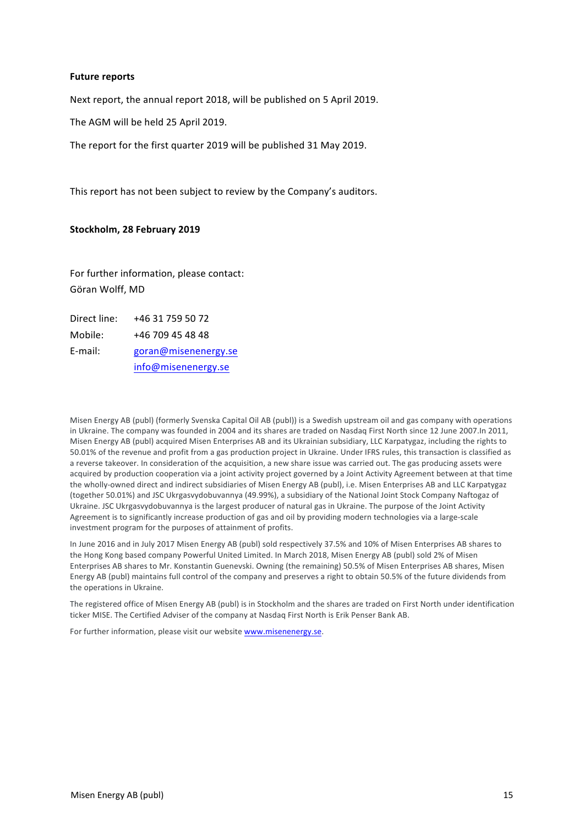### **Future reports**

Next report, the annual report 2018, will be published on 5 April 2019.

The AGM will be held 25 April 2019.

The report for the first quarter 2019 will be published 31 May 2019.

This report has not been subject to review by the Company's auditors.

#### **Stockholm, 28 February 2019**

For further information, please contact: Göran Wolff, MD

| Direct line: | +46 31 759 50 72     |
|--------------|----------------------|
| Mobile:      | +46 709 45 48 48     |
| E-mail:      | goran@misenenergy.se |
|              | info@misenenergy.se  |

Misen Energy AB (publ) (formerly Svenska Capital Oil AB (publ)) is a Swedish upstream oil and gas company with operations in Ukraine. The company was founded in 2004 and its shares are traded on Nasdaq First North since 12 June 2007.In 2011, Misen Energy AB (publ) acquired Misen Enterprises AB and its Ukrainian subsidiary, LLC Karpatygaz, including the rights to 50.01% of the revenue and profit from a gas production project in Ukraine. Under IFRS rules, this transaction is classified as a reverse takeover. In consideration of the acquisition, a new share issue was carried out. The gas producing assets were acquired by production cooperation via a joint activity project governed by a Joint Activity Agreement between at that time the wholly-owned direct and indirect subsidiaries of Misen Energy AB (publ), i.e. Misen Enterprises AB and LLC Karpatygaz (together 50.01%) and JSC Ukrgasvydobuvannya (49.99%), a subsidiary of the National Joint Stock Company Naftogaz of Ukraine. JSC Ukrgasvydobuvannya is the largest producer of natural gas in Ukraine. The purpose of the Joint Activity Agreement is to significantly increase production of gas and oil by providing modern technologies via a large-scale investment program for the purposes of attainment of profits.

In June 2016 and in July 2017 Misen Energy AB (publ) sold respectively 37.5% and 10% of Misen Enterprises AB shares to the Hong Kong based company Powerful United Limited. In March 2018, Misen Energy AB (publ) sold 2% of Misen Enterprises AB shares to Mr. Konstantin Guenevski. Owning (the remaining) 50.5% of Misen Enterprises AB shares, Misen Energy AB (publ) maintains full control of the company and preserves a right to obtain 50.5% of the future dividends from the operations in Ukraine.

The registered office of Misen Energy AB (publ) is in Stockholm and the shares are traded on First North under identification ticker MISE. The Certified Adviser of the company at Nasdaq First North is Erik Penser Bank AB.

For further information, please visit our website www.misenenergy.se.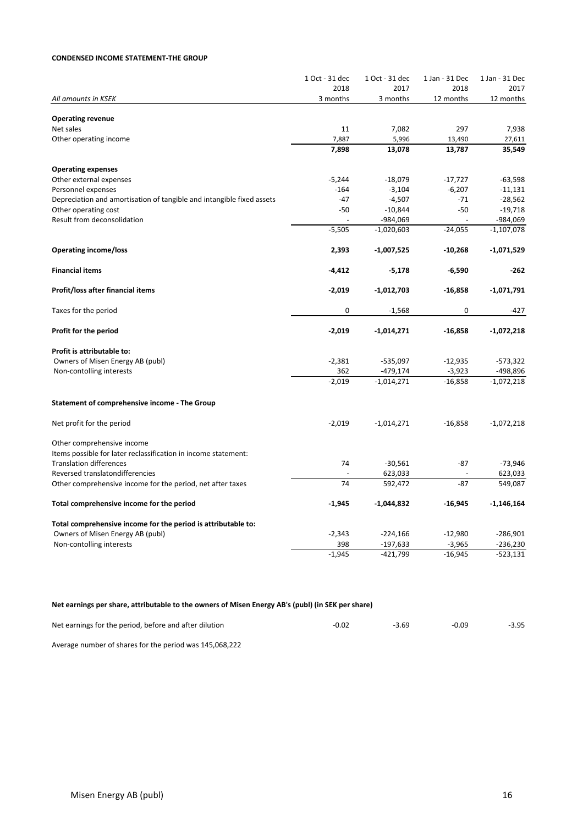#### **CONDENSED INCOME STATEMENT-THE GROUP**

|                                                                       | 1 Oct - 31 dec | 1 Oct - 31 dec | 1 Jan - 31 Dec | 1 Jan - 31 Dec |
|-----------------------------------------------------------------------|----------------|----------------|----------------|----------------|
|                                                                       | 2018           | 2017           | 2018           | 2017           |
| All amounts in KSEK                                                   | 3 months       | 3 months       | 12 months      | 12 months      |
| <b>Operating revenue</b>                                              |                |                |                |                |
| Net sales                                                             | 11             | 7,082          | 297            | 7,938          |
| Other operating income                                                | 7,887          | 5,996          | 13,490         | 27,611         |
|                                                                       | 7,898          | 13,078         | 13,787         | 35,549         |
|                                                                       |                |                |                |                |
| <b>Operating expenses</b>                                             |                |                |                |                |
| Other external expenses                                               | $-5,244$       | $-18,079$      | $-17,727$      | $-63,598$      |
| Personnel expenses                                                    | $-164$         | $-3,104$       | $-6,207$       | $-11,131$      |
| Depreciation and amortisation of tangible and intangible fixed assets | $-47$          | $-4,507$       | $-71$          | $-28,562$      |
| Other operating cost                                                  | $-50$          | $-10,844$      | $-50$          | $-19,718$      |
| Result from deconsolidation                                           |                | -984,069       | $\overline{a}$ | -984,069       |
|                                                                       | $-5,505$       | $-1,020,603$   | $-24,055$      | $-1,107,078$   |
| <b>Operating income/loss</b>                                          | 2,393          | $-1,007,525$   | $-10,268$      | $-1,071,529$   |
| <b>Financial items</b>                                                | $-4,412$       | $-5,178$       | $-6,590$       | -262           |
|                                                                       |                |                |                |                |
| Profit/loss after financial items                                     | $-2,019$       | $-1,012,703$   | $-16,858$      | $-1,071,791$   |
| Taxes for the period                                                  | $\mathbf 0$    | $-1,568$       | 0              | -427           |
| Profit for the period                                                 | $-2,019$       | $-1,014,271$   | $-16,858$      | $-1,072,218$   |
| Profit is attributable to:                                            |                |                |                |                |
| Owners of Misen Energy AB (publ)                                      | $-2,381$       | $-535,097$     | $-12,935$      | $-573,322$     |
| Non-contolling interests                                              | 362            | $-479,174$     | $-3,923$       | -498,896       |
|                                                                       | $-2,019$       | $-1,014,271$   | $-16,858$      | $-1,072,218$   |
|                                                                       |                |                |                |                |
| Statement of comprehensive income - The Group                         |                |                |                |                |
| Net profit for the period                                             | $-2,019$       | $-1,014,271$   | $-16,858$      | $-1,072,218$   |
| Other comprehensive income                                            |                |                |                |                |
| Items possible for later reclassification in income statement:        |                |                |                |                |
| <b>Translation differences</b>                                        | 74             | $-30,561$      | $-87$          | $-73,946$      |
| Reversed translatondifferencies                                       |                | 623,033        |                | 623,033        |
| Other comprehensive income for the period, net after taxes            | 74             | 592,472        | -87            | 549,087        |
| Total comprehensive income for the period                             | $-1,945$       | $-1,044,832$   | $-16,945$      | $-1,146,164$   |
| Total comprehensive income for the period is attributable to:         |                |                |                |                |
| Owners of Misen Energy AB (publ)                                      | $-2,343$       | $-224,166$     | $-12,980$      | $-286,901$     |
| Non-contolling interests                                              | 398            | $-197,633$     | $-3,965$       | $-236,230$     |
|                                                                       | $-1,945$       | $-421,799$     | $-16,945$      | $-523,131$     |
|                                                                       |                |                |                |                |

# Net earnings per share, attributable to the owners of Misen Energy AB's (publ) (in SEK per share)

| Net earnings for the period, before and after dilution | $-0.02$ | $-3.69$ | $-0.09$ | $-3.95$ |
|--------------------------------------------------------|---------|---------|---------|---------|
|                                                        |         |         |         |         |

Average number of shares for the period was 145,068,222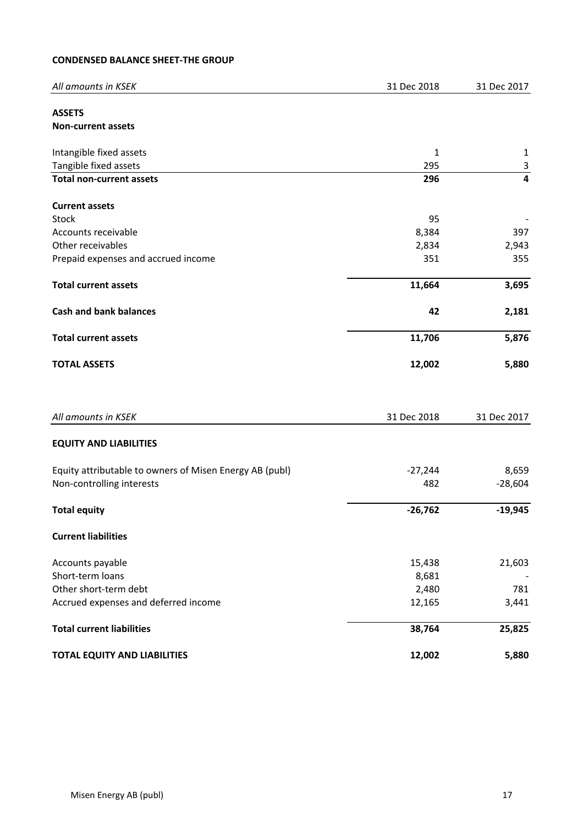# **CONDENSED BALANCE SHEET-THE GROUP**

| All amounts in KSEK                                     | 31 Dec 2018  | 31 Dec 2017  |
|---------------------------------------------------------|--------------|--------------|
| <b>ASSETS</b>                                           |              |              |
| <b>Non-current assets</b>                               |              |              |
| Intangible fixed assets                                 | $\mathbf{1}$ | $\mathbf{1}$ |
| Tangible fixed assets                                   | 295          | $\mathsf 3$  |
| <b>Total non-current assets</b>                         | 296          | 4            |
| <b>Current assets</b>                                   |              |              |
| Stock                                                   | 95           |              |
| Accounts receivable                                     | 8,384        | 397          |
| Other receivables                                       | 2,834        | 2,943        |
| Prepaid expenses and accrued income                     | 351          | 355          |
| <b>Total current assets</b>                             | 11,664       | 3,695        |
| <b>Cash and bank balances</b>                           | 42           | 2,181        |
| <b>Total current assets</b>                             | 11,706       | 5,876        |
| <b>TOTAL ASSETS</b>                                     | 12,002       | 5,880        |
| All amounts in KSEK                                     | 31 Dec 2018  | 31 Dec 2017  |
| <b>EQUITY AND LIABILITIES</b>                           |              |              |
| Equity attributable to owners of Misen Energy AB (publ) | $-27,244$    | 8,659        |
| Non-controlling interests                               | 482          | $-28,604$    |
| <b>Total equity</b>                                     | $-26,762$    | $-19,945$    |
| <b>Current liabilities</b>                              |              |              |
| Accounts payable                                        | 15,438       | 21,603       |
| Short-term loans                                        | 8,681        |              |
| Other short-term debt                                   | 2,480        | 781          |
| Accrued expenses and deferred income                    | 12,165       | 3,441        |
| <b>Total current liabilities</b>                        | 38,764       | 25,825       |
| <b>TOTAL EQUITY AND LIABILITIES</b>                     | 12,002       | 5,880        |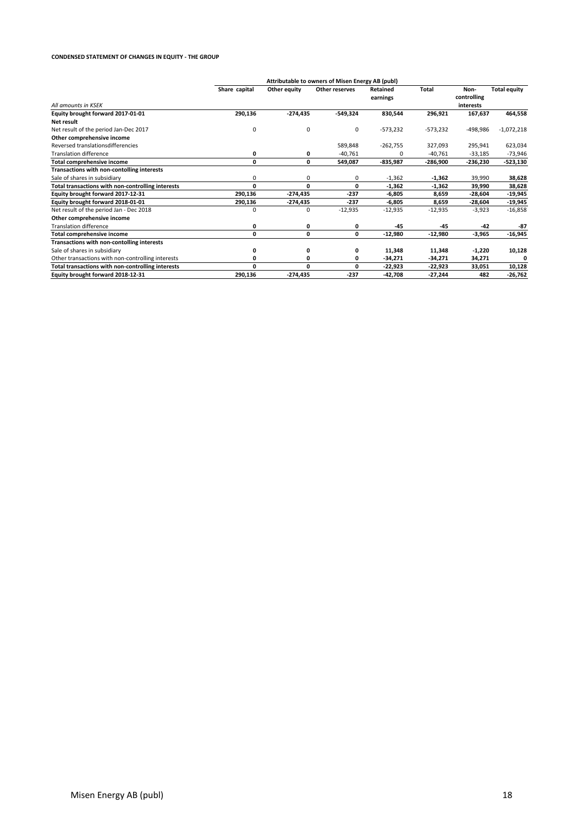#### **CONDENSED STATEMENT OF CHANGES IN EQUITY - THE GROUP**

|                                                   | Attributable to owners of Misen Energy AB (publ) |              |                |                 |            |             |                     |
|---------------------------------------------------|--------------------------------------------------|--------------|----------------|-----------------|------------|-------------|---------------------|
|                                                   | Share capital                                    | Other equity | Other reserves | <b>Retained</b> | Total      | Non-        | <b>Total equity</b> |
|                                                   |                                                  |              |                | earnings        |            | controlling |                     |
| All amounts in KSFK                               |                                                  |              |                |                 |            | interests   |                     |
| Equity brought forward 2017-01-01                 | 290,136                                          | $-274,435$   | $-549,324$     | 830,544         | 296,921    | 167,637     | 464,558             |
| Net result                                        |                                                  |              |                |                 |            |             |                     |
| Net result of the period Jan-Dec 2017             | 0                                                | 0            | 0              | $-573,232$      | $-573,232$ | -498,986    | $-1,072,218$        |
| Other comprehensive income                        |                                                  |              |                |                 |            |             |                     |
| Reversed translationsdifferencies                 |                                                  |              | 589,848        | $-262,755$      | 327,093    | 295,941     | 623,034             |
| <b>Translation difference</b>                     | 0                                                | 0            | $-40,761$      | U               | $-40,761$  | $-33,185$   | -73,946             |
| <b>Total comprehensive income</b>                 | 0                                                | 0            | 549,087        | $-835,987$      | -286,900   | -236,230    | -523,130            |
| Transactions with non-contolling interests        |                                                  |              |                |                 |            |             |                     |
| Sale of shares in subsidiary                      | 0                                                | 0            | 0              | $-1,362$        | $-1,362$   | 39,990      | 38,628              |
| Total transactions with non-controlling interests | 0                                                | 0            | 0              | $-1,362$        | $-1,362$   | 39,990      | 38,628              |
| Equity brought forward 2017-12-31                 | 290,136                                          | $-274,435$   | $-237$         | $-6,805$        | 8,659      | $-28,604$   | $-19,945$           |
| Equity brought forward 2018-01-01                 | 290,136                                          | -274,435     | $-237$         | $-6,805$        | 8,659      | -28,604     | -19,945             |
| Net result of the period Jan - Dec 2018           | 0                                                | 0            | $-12,935$      | $-12,935$       | $-12,935$  | $-3,923$    | $-16,858$           |
| Other comprehensive income                        |                                                  |              |                |                 |            |             |                     |
| <b>Translation difference</b>                     | 0                                                | 0            | 0              | $-45$           | $-45$      | $-42$       | $-87$               |
| <b>Total comprehensive income</b>                 | 0                                                | 0            | 0              | $-12,980$       | $-12,980$  | $-3,965$    | $-16,945$           |
| Transactions with non-contolling interests        |                                                  |              |                |                 |            |             |                     |
| Sale of shares in subsidiary                      |                                                  | 0            | 0              | 11.348          | 11,348     | $-1,220$    | 10,128              |
| Other transactions with non-controlling interests | 0                                                | 0            | 0              | -34,271         | $-34,271$  | 34,271      |                     |
| Total transactions with non-controlling interests | O                                                | 0            | 0              | $-22,923$       | $-22,923$  | 33,051      | 10,128              |
| Equity brought forward 2018-12-31                 | 290.136                                          | -274,435     | $-237$         | $-42.708$       | $-27,244$  | 482         | $-26,762$           |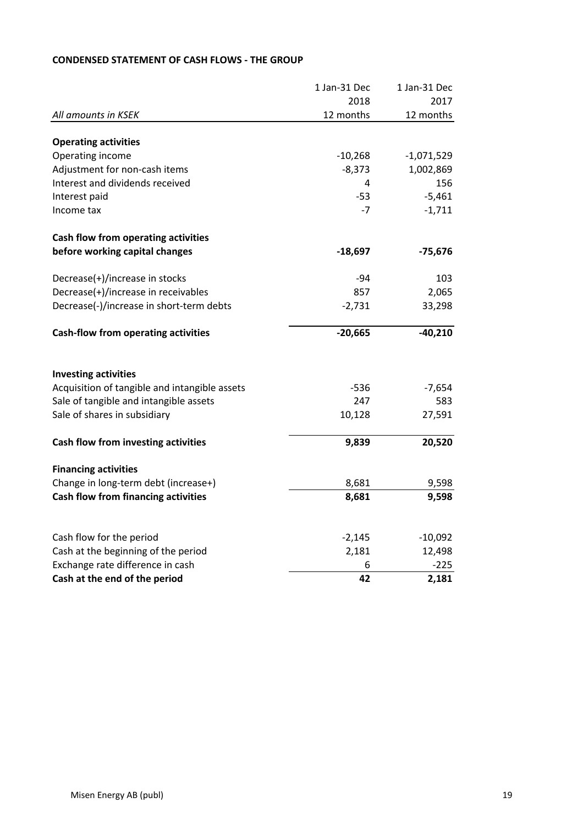|                                               | 1 Jan-31 Dec | 1 Jan-31 Dec |
|-----------------------------------------------|--------------|--------------|
|                                               | 2018         | 2017         |
| All amounts in KSEK                           | 12 months    | 12 months    |
| <b>Operating activities</b>                   |              |              |
| Operating income                              | $-10,268$    | $-1,071,529$ |
| Adjustment for non-cash items                 | $-8,373$     | 1,002,869    |
| Interest and dividends received               | 4            | 156          |
| Interest paid                                 | $-53$        | $-5,461$     |
| Income tax                                    | $-7$         | $-1,711$     |
| Cash flow from operating activities           |              |              |
| before working capital changes                | $-18,697$    | $-75,676$    |
| Decrease(+)/increase in stocks                | $-94$        | 103          |
| Decrease(+)/increase in receivables           | 857          | 2,065        |
| Decrease(-)/increase in short-term debts      | $-2,731$     | 33,298       |
| <b>Cash-flow from operating activities</b>    | $-20,665$    | $-40,210$    |
| <b>Investing activities</b>                   |              |              |
| Acquisition of tangible and intangible assets | $-536$       | $-7,654$     |
| Sale of tangible and intangible assets        | 247          | 583          |
| Sale of shares in subsidiary                  | 10,128       | 27,591       |
| Cash flow from investing activities           | 9,839        | 20,520       |
| <b>Financing activities</b>                   |              |              |
| Change in long-term debt (increase+)          | 8,681        | 9,598        |
| <b>Cash flow from financing activities</b>    | 8,681        | 9,598        |
|                                               |              |              |
| Cash flow for the period                      | $-2,145$     | $-10,092$    |
| Cash at the beginning of the period           | 2,181        | 12,498       |
| Exchange rate difference in cash              | 6            | $-225$       |
| Cash at the end of the period                 | 42           | 2,181        |

# **CONDENSED STATEMENT OF CASH FLOWS - THE GROUP**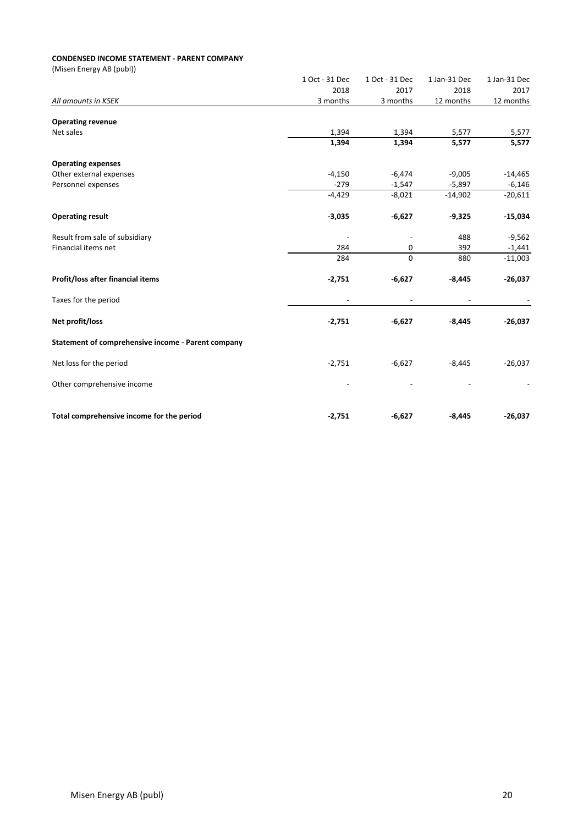# **CONDENSED INCOME STATEMENT - PARENT COMPANY**

|                                                    | 1 Oct - 31 Dec | 1 Oct - 31 Dec | 1 Jan-31 Dec | 1 Jan-31 Dec |
|----------------------------------------------------|----------------|----------------|--------------|--------------|
|                                                    | 2018           | 2017           | 2018         | 2017         |
| All amounts in KSEK                                | 3 months       | 3 months       | 12 months    | 12 months    |
|                                                    |                |                |              |              |
| <b>Operating revenue</b><br>Net sales              | 1,394          | 1,394          | 5,577        | 5,577        |
|                                                    | 1,394          | 1,394          | 5,577        | 5,577        |
| <b>Operating expenses</b>                          |                |                |              |              |
| Other external expenses                            | $-4,150$       | $-6,474$       | $-9,005$     | $-14,465$    |
| Personnel expenses                                 | $-279$         | $-1,547$       | $-5,897$     | $-6,146$     |
|                                                    | $-4,429$       | $-8,021$       | $-14,902$    | $-20,611$    |
| <b>Operating result</b>                            | $-3,035$       | $-6,627$       | $-9,325$     | $-15,034$    |
| Result from sale of subsidiary                     |                |                | 488          | $-9,562$     |
| Financial items net                                | 284            | 0              | 392          | $-1,441$     |
|                                                    | 284            | $\mathbf 0$    | 880          | $-11,003$    |
| Profit/loss after financial items                  | $-2,751$       | $-6,627$       | $-8,445$     | $-26,037$    |
| Taxes for the period                               |                |                |              |              |
| Net profit/loss                                    | $-2,751$       | $-6,627$       | $-8,445$     | $-26,037$    |
| Statement of comprehensive income - Parent company |                |                |              |              |
| Net loss for the period                            | $-2,751$       | $-6,627$       | $-8,445$     | $-26,037$    |
| Other comprehensive income                         |                |                |              |              |
| Total comprehensive income for the period          | $-2,751$       | $-6,627$       | $-8,445$     | $-26,037$    |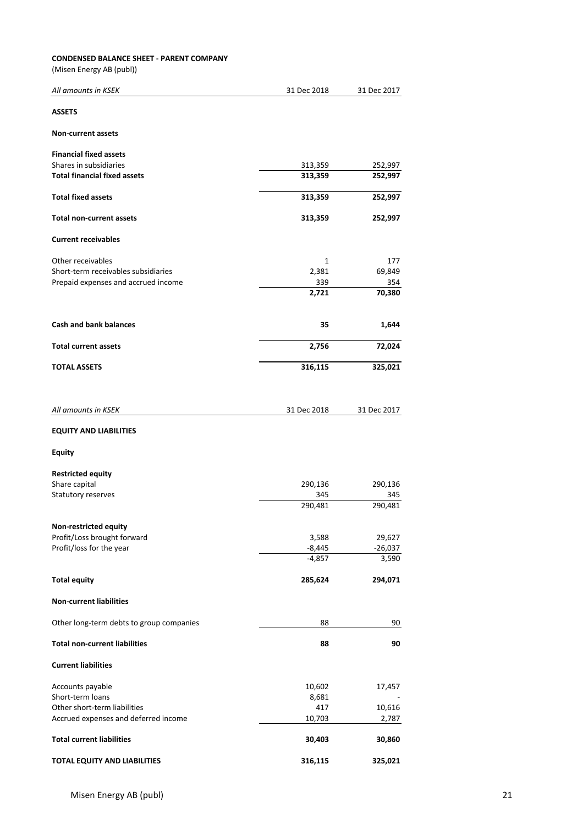# **CONDENSED BALANCE SHEET - PARENT COMPANY**

| All amounts in KSEK                      | 31 Dec 2018 | 31 Dec 2017 |
|------------------------------------------|-------------|-------------|
| <b>ASSETS</b>                            |             |             |
| <b>Non-current assets</b>                |             |             |
| <b>Financial fixed assets</b>            |             |             |
| Shares in subsidiaries                   | 313,359     | 252,997     |
| <b>Total financial fixed assets</b>      | 313,359     | 252,997     |
| <b>Total fixed assets</b>                | 313,359     | 252,997     |
| <b>Total non-current assets</b>          | 313,359     | 252,997     |
| <b>Current receivables</b>               |             |             |
| Other receivables                        | 1           | 177         |
| Short-term receivables subsidiaries      | 2,381       | 69,849      |
| Prepaid expenses and accrued income      | 339         | 354         |
|                                          | 2,721       | 70,380      |
| <b>Cash and bank balances</b>            | 35          | 1,644       |
|                                          |             |             |
| <b>Total current assets</b>              | 2,756       | 72,024      |
| <b>TOTAL ASSETS</b>                      | 316,115     | 325,021     |
| All amounts in KSEK                      | 31 Dec 2018 | 31 Dec 2017 |
| <b>EQUITY AND LIABILITIES</b>            |             |             |
| <b>Equity</b>                            |             |             |
| <b>Restricted equity</b>                 |             |             |
| Share capital                            | 290,136     | 290,136     |
| Statutory reserves                       | 345         | 345         |
|                                          | 290,481     | 290,481     |
| Non-restricted equity                    |             |             |
| Profit/Loss brought forward              | 3,588       | 29,627      |
| Profit/loss for the year                 | $-8,445$    | $-26,037$   |
|                                          | $-4,857$    | 3,590       |
| <b>Total equity</b>                      | 285,624     | 294,071     |
| <b>Non-current liabilities</b>           |             |             |
| Other long-term debts to group companies | 88          | 90          |
| <b>Total non-current liabilities</b>     | 88          | 90          |
| <b>Current liabilities</b>               |             |             |
| Accounts payable                         | 10,602      | 17,457      |
| Short-term loans                         | 8,681       |             |
| Other short-term liabilities             | 417         | 10,616      |
| Accrued expenses and deferred income     | 10,703      | 2,787       |
| <b>Total current liabilities</b>         | 30,403      | 30,860      |
| <b>TOTAL EQUITY AND LIABILITIES</b>      | 316,115     | 325,021     |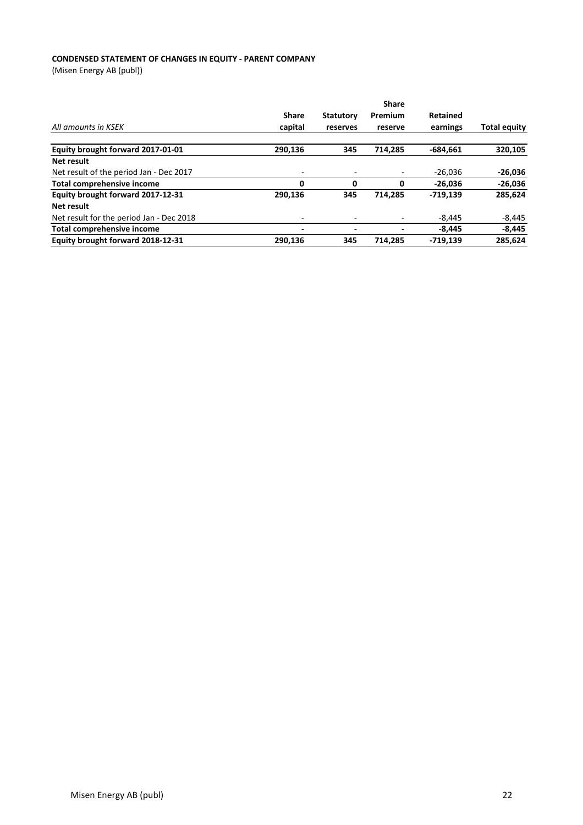# **CONDENSED STATEMENT OF CHANGES IN EQUITY - PARENT COMPANY**

|                                          |                          | <b>Share</b>             |         |            |                     |
|------------------------------------------|--------------------------|--------------------------|---------|------------|---------------------|
|                                          | <b>Share</b>             | <b>Statutory</b>         | Premium | Retained   |                     |
| All amounts in KSEK                      | capital                  | reserves                 | reserve | earnings   | <b>Total equity</b> |
| Equity brought forward 2017-01-01        | 290,136                  | 345                      | 714.285 | $-684,661$ | 320,105             |
| Net result                               |                          |                          |         |            |                     |
| Net result of the period Jan - Dec 2017  | ۰                        |                          |         | $-26.036$  | $-26,036$           |
| Total comprehensive income               | 0                        | 0                        | 0       | $-26.036$  | $-26,036$           |
| Equity brought forward 2017-12-31        | 290,136                  | 345                      | 714.285 | $-719.139$ | 285,624             |
| Net result                               |                          |                          |         |            |                     |
| Net result for the period Jan - Dec 2018 | ۰                        |                          |         | $-8.445$   | $-8,445$            |
| <b>Total comprehensive income</b>        | $\overline{\phantom{0}}$ | $\overline{\phantom{0}}$ |         | $-8.445$   | $-8,445$            |
| Equity brought forward 2018-12-31        | 290,136                  | 345                      | 714.285 | $-719.139$ | 285,624             |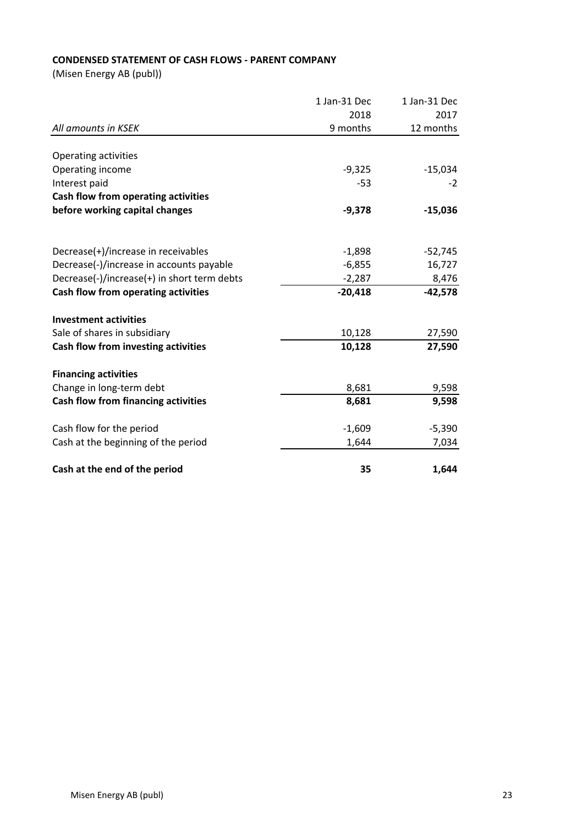# **CONDENSED STATEMENT OF CASH FLOWS - PARENT COMPANY**

|                                             | 1 Jan-31 Dec | 1 Jan-31 Dec |  |
|---------------------------------------------|--------------|--------------|--|
|                                             | 2018         | 2017         |  |
| All amounts in KSEK                         | 9 months     | 12 months    |  |
| <b>Operating activities</b>                 |              |              |  |
| Operating income                            | $-9,325$     | $-15,034$    |  |
| Interest paid                               | -53          | $-2$         |  |
| Cash flow from operating activities         |              |              |  |
| before working capital changes              | $-9,378$     | $-15,036$    |  |
|                                             |              |              |  |
| Decrease(+)/increase in receivables         | $-1,898$     | $-52,745$    |  |
| Decrease(-)/increase in accounts payable    | $-6,855$     | 16,727       |  |
| Decrease(-)/increase(+) in short term debts | $-2,287$     | 8,476        |  |
| Cash flow from operating activities         | $-20,418$    | $-42,578$    |  |
| <b>Investment activities</b>                |              |              |  |
| Sale of shares in subsidiary                | 10,128       | 27,590       |  |
| Cash flow from investing activities         | 10,128       | 27,590       |  |
| <b>Financing activities</b>                 |              |              |  |
| Change in long-term debt                    | 8,681        | 9,598        |  |
| <b>Cash flow from financing activities</b>  | 8,681        | 9,598        |  |
| Cash flow for the period                    | $-1,609$     | $-5,390$     |  |
|                                             |              |              |  |
| Cash at the beginning of the period         | 1,644        | 7,034        |  |
| Cash at the end of the period               | 35           | 1,644        |  |